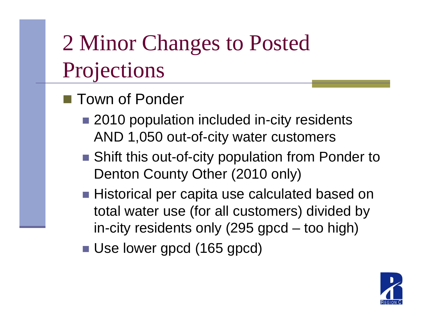# 2 Minor Changes to Posted Projections

- Town of Ponder
	- 2010 population included in-city residents AND 1,050 out-of-cit y water customers
	- Shift this out-of-city population from Ponder to Denton County Other (2010 only)
	- $\blacksquare$  Historical per capita use calculated based on total water use (for all customers) divided by in-city residents only (295 gpcd –– too high)
	- Use lower gpcd (165 gpcd)

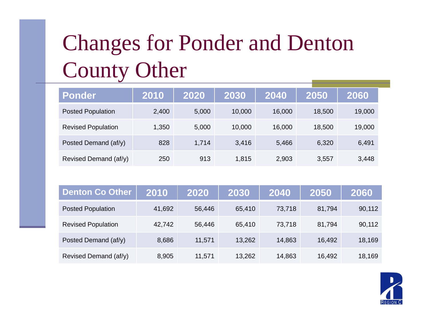#### Changes for Ponder and Denton Count y Othe  $\mathbf{r}% _{0}$

| <b>Ponder</b>             | 2010  | 2020  | 2030   | 2040   | 2050   | 2060   |
|---------------------------|-------|-------|--------|--------|--------|--------|
| <b>Posted Population</b>  | 2,400 | 5,000 | 10,000 | 16,000 | 18,500 | 19,000 |
| <b>Revised Population</b> | 1,350 | 5,000 | 10,000 | 16,000 | 18,500 | 19,000 |
| Posted Demand (af/y)      | 828   | 1,714 | 3,416  | 5,466  | 6,320  | 6,491  |
| Revised Demand (af/y)     | 250   | 913   | 1,815  | 2,903  | 3,557  | 3,448  |

| <b>Denton Co Other</b>    | 2010   | 2020   | 2030   | 2040   | 2050   | 2060   |
|---------------------------|--------|--------|--------|--------|--------|--------|
| <b>Posted Population</b>  | 41,692 | 56,446 | 65,410 | 73,718 | 81,794 | 90,112 |
| <b>Revised Population</b> | 42,742 | 56,446 | 65,410 | 73,718 | 81,794 | 90,112 |
| Posted Demand (af/y)      | 8,686  | 11,571 | 13,262 | 14,863 | 16,492 | 18,169 |
| Revised Demand (af/y)     | 8,905  | 11,571 | 13,262 | 14,863 | 16,492 | 18,169 |

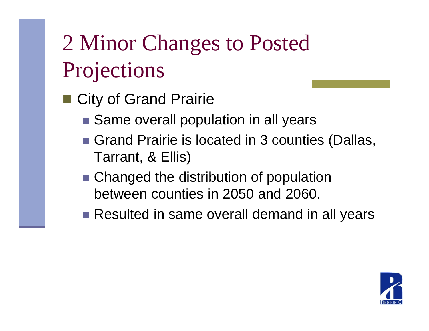# 2 Minor Changes to Posted Projections

- City of Grand Prairie
	- Same overall population in all years
	- Grand Prairie is located in 3 counties (Dallas, Tarrant, & Ellis)
	- Changed the distribution of population between counties in 2050 and 2060.
	- Resulted in same overall demand in all years

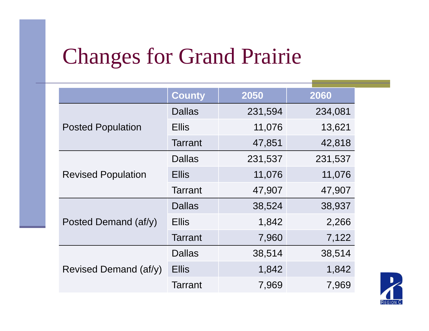#### Changes for Grand Prairie

|                           | <b>County</b>  | 2050    | 2060    |  |
|---------------------------|----------------|---------|---------|--|
|                           |                |         |         |  |
|                           | <b>Dallas</b>  | 231,594 | 234,081 |  |
| <b>Posted Population</b>  | <b>Ellis</b>   | 11,076  | 13,621  |  |
|                           | <b>Tarrant</b> | 47,851  | 42,818  |  |
| <b>Revised Population</b> | <b>Dallas</b>  | 231,537 | 231,537 |  |
|                           | <b>Ellis</b>   | 11,076  | 11,076  |  |
|                           | <b>Tarrant</b> | 47,907  | 47,907  |  |
|                           | <b>Dallas</b>  | 38,524  | 38,937  |  |
| Posted Demand (af/y)      | <b>Ellis</b>   | 1,842   | 2,266   |  |
|                           | <b>Tarrant</b> | 7,960   | 7,122   |  |
|                           | <b>Dallas</b>  | 38,514  | 38,514  |  |
| Revised Demand (af/y)     | <b>Ellis</b>   | 1,842   | 1,842   |  |
|                           | <b>Tarrant</b> | 7,969   | 7,969   |  |